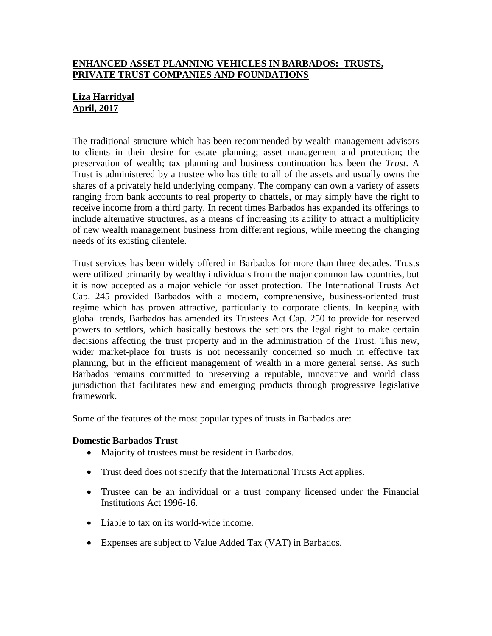## **ENHANCED ASSET PLANNING VEHICLES IN BARBADOS: TRUSTS, PRIVATE TRUST COMPANIES AND FOUNDATIONS**

## **Liza Harridyal April, 2017**

The traditional structure which has been recommended by wealth management advisors to clients in their desire for estate planning; asset management and protection; the preservation of wealth; tax planning and business continuation has been the *Trust*. A Trust is administered by a trustee who has title to all of the assets and usually owns the shares of a privately held underlying company. The company can own a variety of assets ranging from bank accounts to real property to chattels, or may simply have the right to receive income from a third party. In recent times Barbados has expanded its offerings to include alternative structures, as a means of increasing its ability to attract a multiplicity of new wealth management business from different regions, while meeting the changing needs of its existing clientele.

Trust services has been widely offered in Barbados for more than three decades. Trusts were utilized primarily by wealthy individuals from the major common law countries, but it is now accepted as a major vehicle for asset protection. The International Trusts Act Cap. 245 provided Barbados with a modern, comprehensive, business-oriented trust regime which has proven attractive, particularly to corporate clients. In keeping with global trends, Barbados has amended its Trustees Act Cap. 250 to provide for reserved powers to settlors, which basically bestows the settlors the legal right to make certain decisions affecting the trust property and in the administration of the Trust. This new, wider market-place for trusts is not necessarily concerned so much in effective tax planning, but in the efficient management of wealth in a more general sense. As such Barbados remains committed to preserving a reputable, innovative and world class jurisdiction that facilitates new and emerging products through progressive legislative framework.

Some of the features of the most popular types of trusts in Barbados are:

## **Domestic Barbados Trust**

- Majority of trustees must be resident in Barbados.
- Trust deed does not specify that the International Trusts Act applies.
- Trustee can be an individual or a trust company licensed under the Financial Institutions Act 1996-16.
- Liable to tax on its world-wide income.
- Expenses are subject to Value Added Tax (VAT) in Barbados.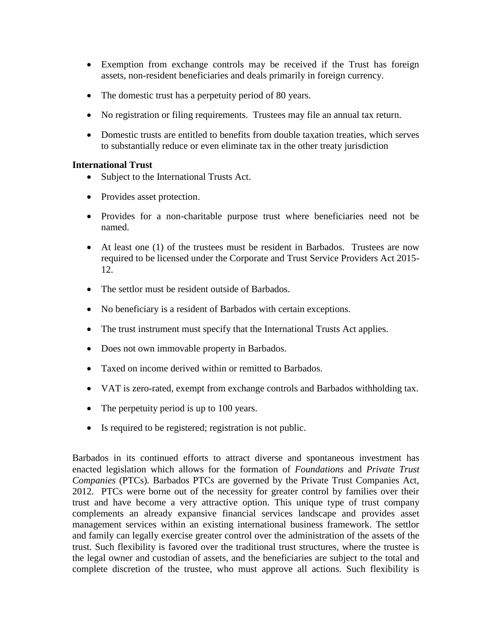- Exemption from exchange controls may be received if the Trust has foreign assets, non-resident beneficiaries and deals primarily in foreign currency.
- The domestic trust has a perpetuity period of 80 years.
- No registration or filing requirements. Trustees may file an annual tax return.
- Domestic trusts are entitled to benefits from double taxation treaties, which serves to substantially reduce or even eliminate tax in the other treaty jurisdiction

## **International Trust**

- Subject to the International Trusts Act.
- Provides asset protection.
- Provides for a non-charitable purpose trust where beneficiaries need not be named.
- At least one (1) of the trustees must be resident in Barbados. Trustees are now required to be licensed under the Corporate and Trust Service Providers Act 2015- 12.
- The settlor must be resident outside of Barbados.
- No beneficiary is a resident of Barbados with certain exceptions.
- The trust instrument must specify that the International Trusts Act applies.
- Does not own immovable property in Barbados.
- Taxed on income derived within or remitted to Barbados.
- VAT is zero-rated, exempt from exchange controls and Barbados withholding tax.
- The perpetuity period is up to 100 years.
- Is required to be registered; registration is not public.

Barbados in its continued efforts to attract diverse and spontaneous investment has enacted legislation which allows for the formation of *Foundations* and *Private Trust Companies* (PTCs)*.* Barbados PTCs are governed by the Private Trust Companies Act, 2012. PTCs were borne out of the necessity for greater control by families over their trust and have become a very attractive option. This unique type of trust company complements an already expansive financial services landscape and provides asset management services within an existing international business framework. The settlor and family can legally exercise greater control over the administration of the assets of the trust. Such flexibility is favored over the traditional trust structures, where the trustee is the legal owner and custodian of assets, and the beneficiaries are subject to the total and complete discretion of the trustee, who must approve all actions. Such flexibility is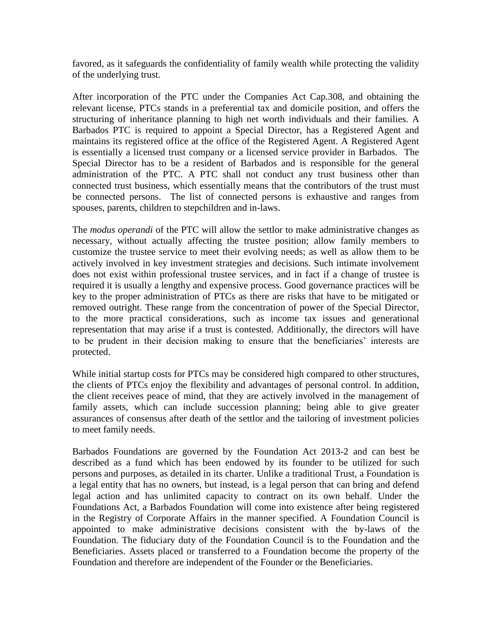favored, as it safeguards the confidentiality of family wealth while protecting the validity of the underlying trust.

After incorporation of the PTC under the Companies Act Cap.308, and obtaining the relevant license, PTCs stands in a preferential tax and domicile position, and offers the structuring of inheritance planning to high net worth individuals and their families. A Barbados PTC is required to appoint a Special Director, has a Registered Agent and maintains its registered office at the office of the Registered Agent. A Registered Agent is essentially a licensed trust company or a licensed service provider in Barbados. The Special Director has to be a resident of Barbados and is responsible for the general administration of the PTC. A PTC shall not conduct any trust business other than connected trust business, which essentially means that the contributors of the trust must be connected persons. The list of connected persons is exhaustive and ranges from spouses, parents, children to stepchildren and in-laws.

The *modus operandi* of the PTC will allow the settlor to make administrative changes as necessary, without actually affecting the trustee position; allow family members to customize the trustee service to meet their evolving needs; as well as allow them to be actively involved in key investment strategies and decisions. Such intimate involvement does not exist within professional trustee services, and in fact if a change of trustee is required it is usually a lengthy and expensive process. Good governance practices will be key to the proper administration of PTCs as there are risks that have to be mitigated or removed outright. These range from the concentration of power of the Special Director, to the more practical considerations, such as income tax issues and generational representation that may arise if a trust is contested. Additionally, the directors will have to be prudent in their decision making to ensure that the beneficiaries' interests are protected.

While initial startup costs for PTCs may be considered high compared to other structures, the clients of PTCs enjoy the flexibility and advantages of personal control. In addition, the client receives peace of mind, that they are actively involved in the management of family assets, which can include succession planning; being able to give greater assurances of consensus after death of the settlor and the tailoring of investment policies to meet family needs.

Barbados Foundations are governed by the Foundation Act 2013-2 and can best be described as a fund which has been endowed by its founder to be utilized for such persons and purposes, as detailed in its charter. Unlike a traditional Trust, a Foundation is a legal entity that has no owners, but instead, is a legal person that can bring and defend legal action and has unlimited capacity to contract on its own behalf. Under the Foundations Act, a Barbados Foundation will come into existence after being registered in the Registry of Corporate Affairs in the manner specified. A Foundation Council is appointed to make administrative decisions consistent with the by-laws of the Foundation. The fiduciary duty of the Foundation Council is to the Foundation and the Beneficiaries. Assets placed or transferred to a Foundation become the property of the Foundation and therefore are independent of the Founder or the Beneficiaries.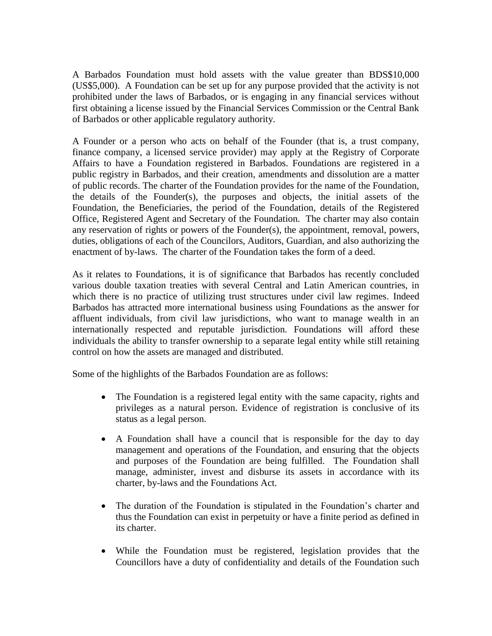A Barbados Foundation must hold assets with the value greater than BDS\$10,000 (US\$5,000). A Foundation can be set up for any purpose provided that the activity is not prohibited under the laws of Barbados, or is engaging in any financial services without first obtaining a license issued by the Financial Services Commission or the Central Bank of Barbados or other applicable regulatory authority.

A Founder or a person who acts on behalf of the Founder (that is, a trust company, finance company, a licensed service provider) may apply at the Registry of Corporate Affairs to have a Foundation registered in Barbados. Foundations are registered in a public registry in Barbados, and their creation, amendments and dissolution are a matter of public records. The charter of the Foundation provides for the name of the Foundation, the details of the Founder(s), the purposes and objects, the initial assets of the Foundation, the Beneficiaries, the period of the Foundation, details of the Registered Office, Registered Agent and Secretary of the Foundation. The charter may also contain any reservation of rights or powers of the Founder(s), the appointment, removal, powers, duties, obligations of each of the Councilors, Auditors, Guardian, and also authorizing the enactment of by-laws. The charter of the Foundation takes the form of a deed.

As it relates to Foundations, it is of significance that Barbados has recently concluded various double taxation treaties with several Central and Latin American countries, in which there is no practice of utilizing trust structures under civil law regimes. Indeed Barbados has attracted more international business using Foundations as the answer for affluent individuals, from civil law jurisdictions, who want to manage wealth in an internationally respected and reputable jurisdiction. Foundations will afford these individuals the ability to transfer ownership to a separate legal entity while still retaining control on how the assets are managed and distributed.

Some of the highlights of the Barbados Foundation are as follows:

- The Foundation is a registered legal entity with the same capacity, rights and privileges as a natural person. Evidence of registration is conclusive of its status as a legal person.
- A Foundation shall have a council that is responsible for the day to day management and operations of the Foundation, and ensuring that the objects and purposes of the Foundation are being fulfilled. The Foundation shall manage, administer, invest and disburse its assets in accordance with its charter, by-laws and the Foundations Act.
- The duration of the Foundation is stipulated in the Foundation's charter and thus the Foundation can exist in perpetuity or have a finite period as defined in its charter.
- While the Foundation must be registered, legislation provides that the Councillors have a duty of confidentiality and details of the Foundation such